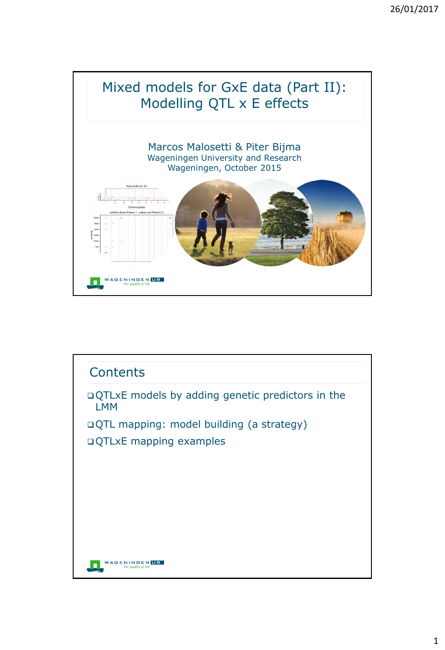

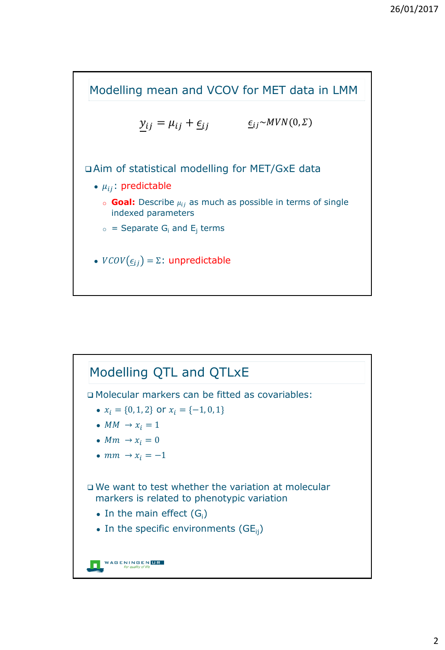

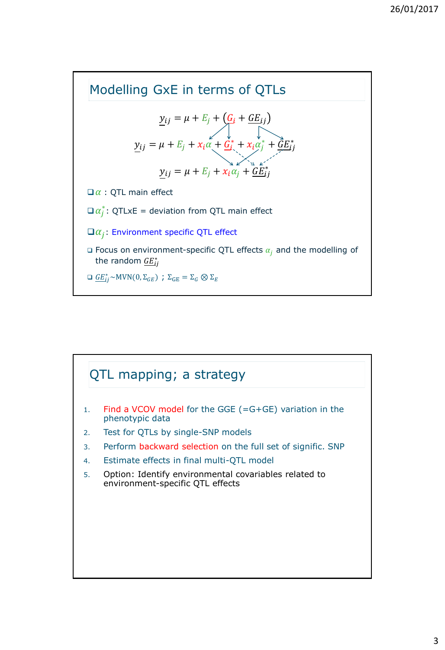

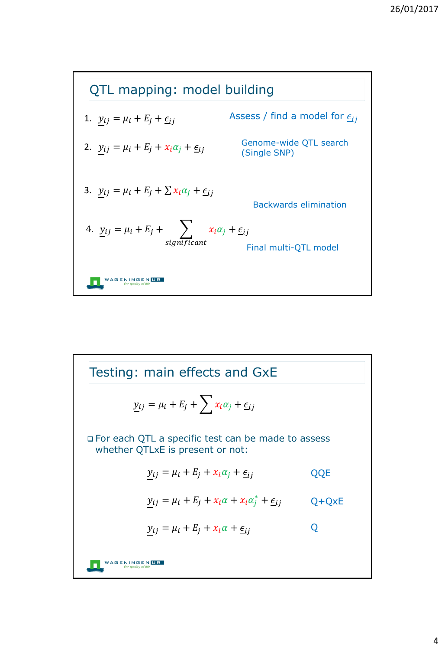

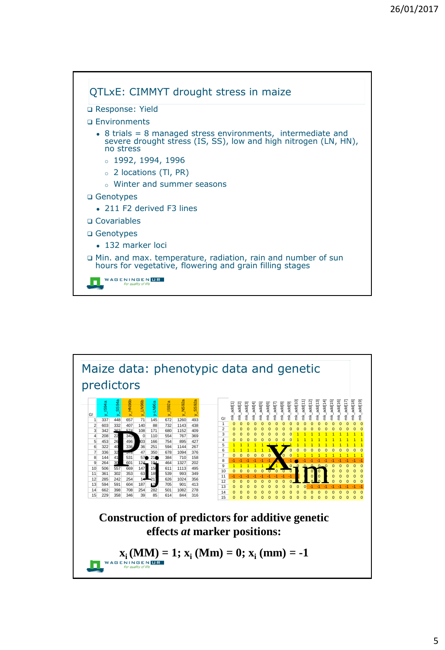

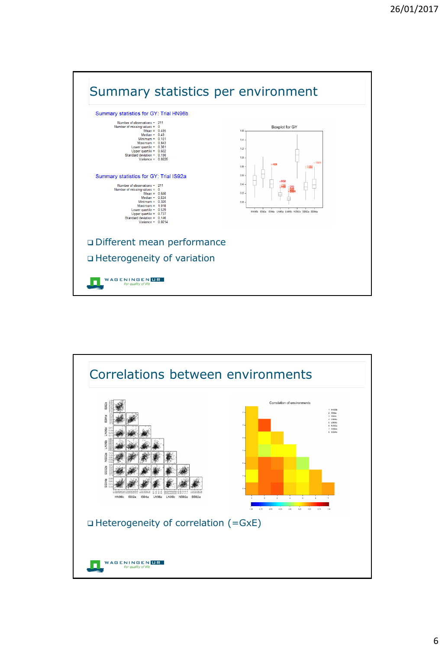

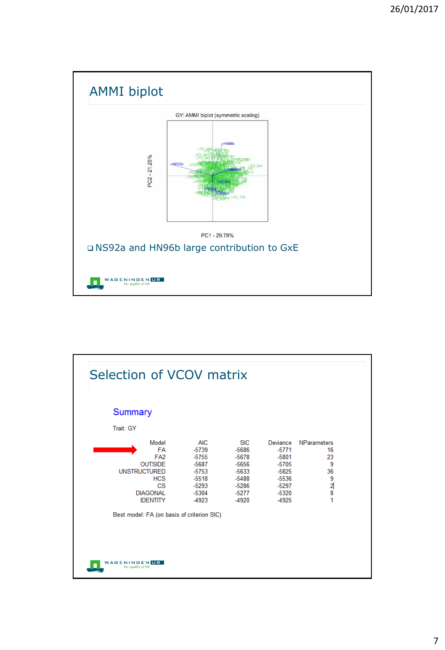

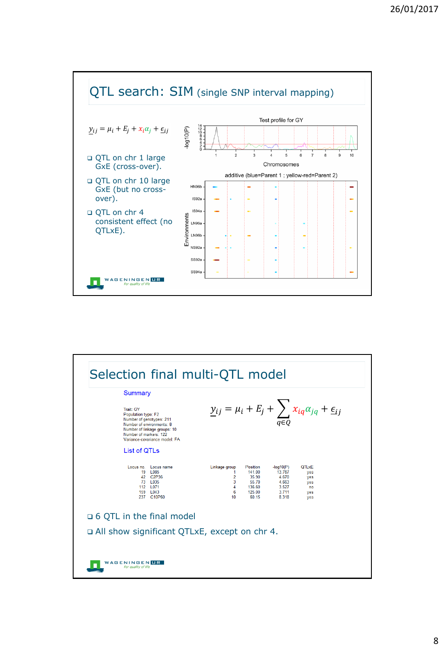

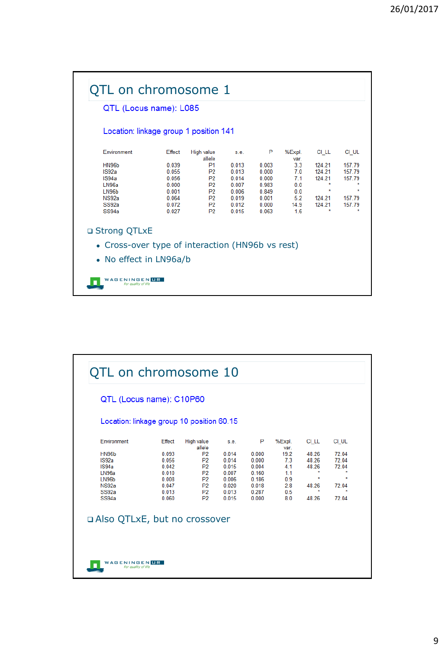

| Location: linkage group 10 position 60.15 |                                  |                                                            |                                  |                                  |                         |                           |         |
|-------------------------------------------|----------------------------------|------------------------------------------------------------|----------------------------------|----------------------------------|-------------------------|---------------------------|---------|
| Environment                               | <b>Effect</b>                    | High value<br>allele                                       | s.e.                             | P                                | %Expl.                  | CI LL                     | CI UL   |
| HN96b                                     | 0.093                            | P <sub>2</sub>                                             | 0.014                            | 0.000                            | var.<br>19.2            | 48.26                     | 72.04   |
| IS92a                                     | 0.056                            | P <sub>2</sub>                                             | 0.014                            | 0.000                            | 7.3                     | 48.26                     | 72.04   |
| IS94a                                     | 0.042                            | P <sub>2</sub>                                             | 0.015                            | 0.004                            | 4.1                     | 48.26                     | 72.04   |
| LN96a                                     | 0.010                            | P <sub>2</sub>                                             | 0.007                            | 0.160                            | 1.1                     |                           | $\star$ |
|                                           |                                  |                                                            |                                  |                                  |                         |                           | $\star$ |
|                                           |                                  |                                                            |                                  |                                  |                         |                           | 72.04   |
|                                           |                                  |                                                            |                                  |                                  |                         |                           | 72.04   |
|                                           |                                  |                                                            |                                  |                                  |                         |                           |         |
| <b>LN96b</b><br>NS92a<br>SS92a<br>SS94a   | 0.008<br>0.047<br>0.013<br>0.060 | P <sub>2</sub><br>P <sub>2</sub><br><b>P2</b><br><b>P2</b> | 0.006<br>0.020<br>0.013<br>0.015 | 0.186<br>0.018<br>0.287<br>0.000 | 0.9<br>2.8<br>0.5<br>80 | $\star$<br>48.26<br>48.26 |         |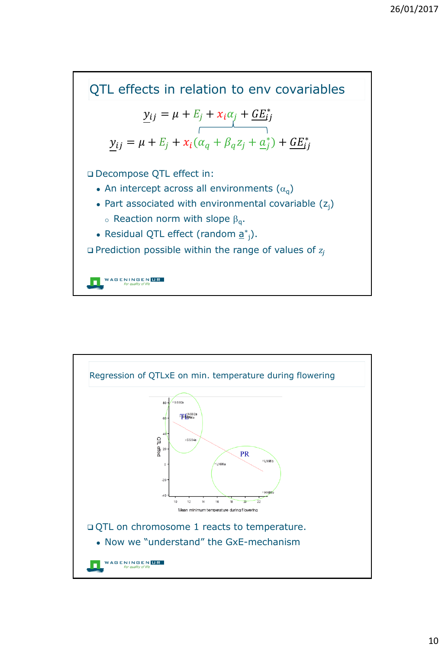